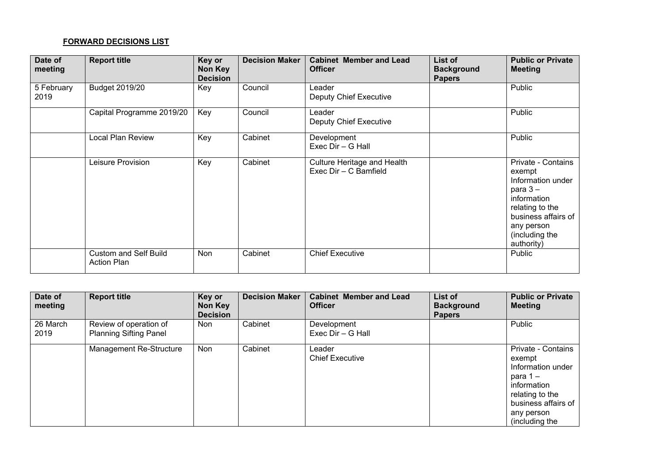## **FORWARD DECISIONS LIST**

| Date of<br>meeting | <b>Report title</b>                                | Key or<br>Non Key<br><b>Decision</b> | <b>Decision Maker</b> | <b>Cabinet Member and Lead</b><br><b>Officer</b>     | List of<br><b>Background</b><br><b>Papers</b> | <b>Public or Private</b><br><b>Meeting</b>                                                                                                                            |
|--------------------|----------------------------------------------------|--------------------------------------|-----------------------|------------------------------------------------------|-----------------------------------------------|-----------------------------------------------------------------------------------------------------------------------------------------------------------------------|
| 5 February<br>2019 | Budget 2019/20                                     | Key                                  | Council               | Leader<br>Deputy Chief Executive                     |                                               | Public                                                                                                                                                                |
|                    | Capital Programme 2019/20                          | Key                                  | Council               | Leader<br><b>Deputy Chief Executive</b>              |                                               | Public                                                                                                                                                                |
|                    | Local Plan Review                                  | Key                                  | Cabinet               | Development<br>Exec Dir - G Hall                     |                                               | Public                                                                                                                                                                |
|                    | Leisure Provision                                  | Key                                  | Cabinet               | Culture Heritage and Health<br>Exec Dir - C Bamfield |                                               | Private - Contains<br>exempt<br>Information under<br>para $3-$<br>information<br>relating to the<br>business affairs of<br>any person<br>(including the<br>authority) |
|                    | <b>Custom and Self Build</b><br><b>Action Plan</b> | Non                                  | Cabinet               | <b>Chief Executive</b>                               |                                               | Public                                                                                                                                                                |

| Date of<br>meeting | <b>Report title</b>                                     | Key or<br>Non Key<br><b>Decision</b> | <b>Decision Maker</b> | <b>Cabinet Member and Lead</b><br><b>Officer</b> | List of<br><b>Background</b><br><b>Papers</b> | <b>Public or Private</b><br><b>Meeting</b>                                                                                                             |
|--------------------|---------------------------------------------------------|--------------------------------------|-----------------------|--------------------------------------------------|-----------------------------------------------|--------------------------------------------------------------------------------------------------------------------------------------------------------|
| 26 March<br>2019   | Review of operation of<br><b>Planning Sifting Panel</b> | Non                                  | Cabinet               | Development<br>Exec Dir – G Hall                 |                                               | Public                                                                                                                                                 |
|                    | Management Re-Structure                                 | Non                                  | Cabinet               | Leader<br><b>Chief Executive</b>                 |                                               | Private - Contains<br>exempt<br>Information under<br>para 1 –<br>information<br>relating to the<br>business affairs of<br>any person<br>(including the |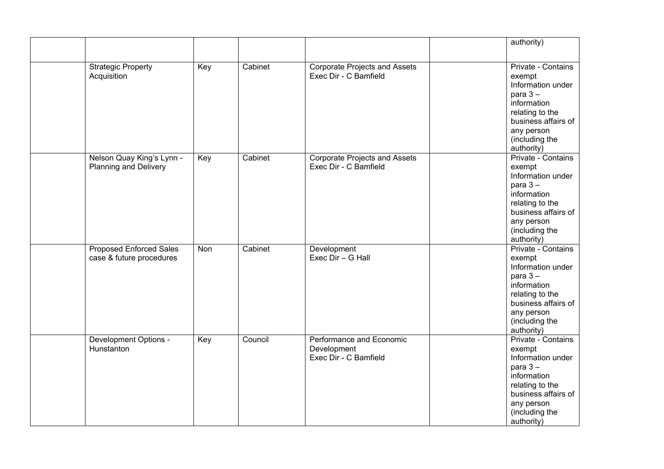|                                                            |     |         |                                                                  | authority)                                                                                                                                                                                                                    |
|------------------------------------------------------------|-----|---------|------------------------------------------------------------------|-------------------------------------------------------------------------------------------------------------------------------------------------------------------------------------------------------------------------------|
| <b>Strategic Property</b><br>Acquisition                   | Key | Cabinet | <b>Corporate Projects and Assets</b><br>Exec Dir - C Bamfield    | Private - Contains<br>exempt<br>Information under<br>para $3 -$<br>information<br>relating to the<br>business affairs of<br>any person                                                                                        |
| Nelson Quay King's Lynn -<br><b>Planning and Delivery</b>  | Key | Cabinet | <b>Corporate Projects and Assets</b><br>Exec Dir - C Bamfield    | (including the<br>authority)<br>Private - Contains<br>exempt<br>Information under<br>para $3 -$<br>information<br>relating to the<br>business affairs of                                                                      |
| <b>Proposed Enforced Sales</b><br>case & future procedures | Non | Cabinet | Development<br>Exec Dir - G Hall                                 | any person<br>(including the<br>authority)<br>Private - Contains<br>exempt<br>Information under<br>para $3-$<br>information<br>relating to the                                                                                |
| Development Options -<br>Hunstanton                        | Key | Council | Performance and Economic<br>Development<br>Exec Dir - C Bamfield | business affairs of<br>any person<br>(including the<br>authority)<br>Private - Contains<br>exempt<br>Information under<br>para $3 -$<br>information<br>relating to the<br>business affairs of<br>any person<br>(including the |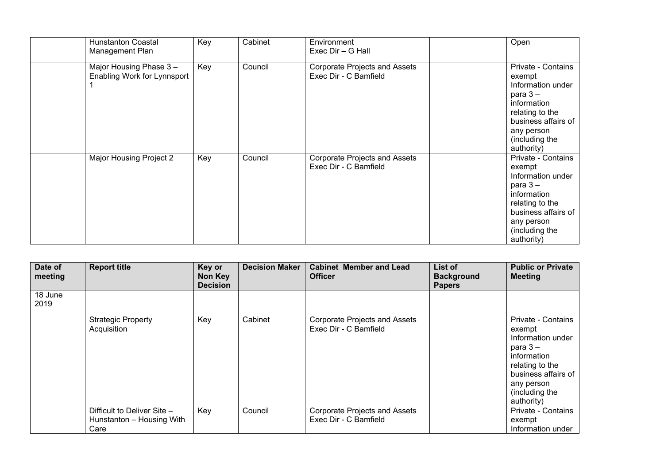| <b>Hunstanton Coastal</b><br>Management Plan          | Key | Cabinet | Environment<br>Exec Dir - G Hall                       | Open                                                                                                                                                                   |
|-------------------------------------------------------|-----|---------|--------------------------------------------------------|------------------------------------------------------------------------------------------------------------------------------------------------------------------------|
| Major Housing Phase 3-<br>Enabling Work for Lynnsport | Key | Council | Corporate Projects and Assets<br>Exec Dir - C Bamfield | Private - Contains<br>exempt<br>Information under<br>para $3-$<br>information<br>relating to the<br>business affairs of<br>any person<br>(including the<br>authority)  |
| Major Housing Project 2                               | Key | Council | Corporate Projects and Assets<br>Exec Dir - C Bamfield | Private - Contains<br>exempt<br>Information under<br>para $3 -$<br>information<br>relating to the<br>business affairs of<br>any person<br>(including the<br>authority) |

| Date of<br>meeting | <b>Report title</b>                                              | Key or<br>Non Key<br><b>Decision</b> | <b>Decision Maker</b> | <b>Cabinet Member and Lead</b><br><b>Officer</b>       | List of<br><b>Background</b><br><b>Papers</b> | <b>Public or Private</b><br><b>Meeting</b>                                                                                                                            |
|--------------------|------------------------------------------------------------------|--------------------------------------|-----------------------|--------------------------------------------------------|-----------------------------------------------|-----------------------------------------------------------------------------------------------------------------------------------------------------------------------|
| 18 June<br>2019    |                                                                  |                                      |                       |                                                        |                                               |                                                                                                                                                                       |
|                    | <b>Strategic Property</b><br>Acquisition                         | Key                                  | Cabinet               | Corporate Projects and Assets<br>Exec Dir - C Bamfield |                                               | Private - Contains<br>exempt<br>Information under<br>para $3-$<br>information<br>relating to the<br>business affairs of<br>any person<br>(including the<br>authority) |
|                    | Difficult to Deliver Site -<br>Hunstanton - Housing With<br>Care | Key                                  | Council               | Corporate Projects and Assets<br>Exec Dir - C Bamfield |                                               | Private - Contains<br>exempt<br>Information under                                                                                                                     |